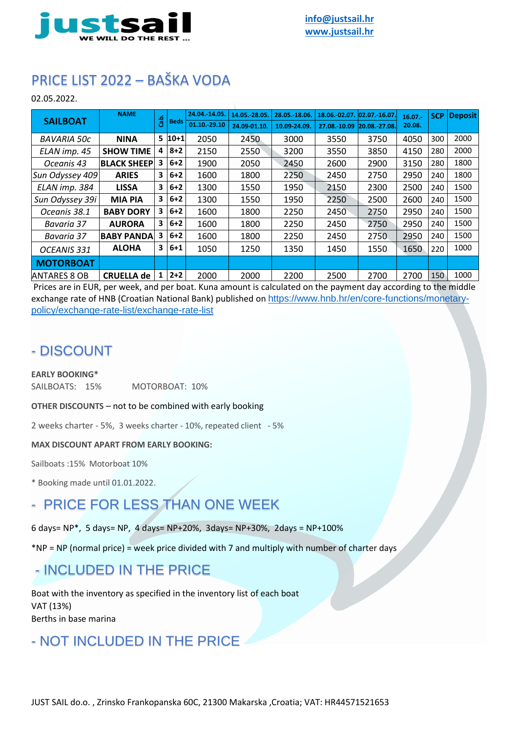

# PRICE LIST 2022 – BAŠKA VODA

02.05.2022.

| <b>SAILBOAT</b>     | <b>NAME</b>        | ಕೆ | <b>Beds</b> | 24.04.-14.05. | 14.05.-28.05. | 28.05. 18.06. | 18.06.-02.07. 02.07. 16.07. |      | 16.07.<br>20.08. | <b>SCP</b> | <b>Deposit</b> |
|---------------------|--------------------|----|-------------|---------------|---------------|---------------|-----------------------------|------|------------------|------------|----------------|
|                     |                    |    |             | 01.10. 29.10  | 24.09-01.10.  | 10.09-24.09.  | 27.08.-10.09 20.08.-27.08.  |      |                  |            |                |
| <b>BAVARIA 50c</b>  | <b>NINA</b>        | 5  | $ 10+1 $    | 2050          | 2450          | 3000          | 3550                        | 3750 | 4050             | 300        | 2000           |
| ELAN imp. 45        | <b>SHOW TIME</b>   | 4  | $8 + 2$     | 2150          | 2550          | 3200          | 3550                        | 3850 | 4150             | 280        | 2000           |
| Oceanis 43          | <b>BLACK SHEEP</b> | 3  | $6 + 2$     | 1900          | 2050          | 2450          | 2600                        | 2900 | 3150             | 280        | 1800           |
| Sun Odyssey 409     | <b>ARIES</b>       | 3  | $6 + 2$     | 1600          | 1800          | 2250          | 2450                        | 2750 | 2950             | 240        | 1800           |
| ELAN imp. 384       | <b>LISSA</b>       | 3  | $6 + 2$     | 1300          | 1550          | 1950          | 2150                        | 2300 | 2500             | 240        | 1500           |
| Sun Odyssey 39i     | <b>MIA PIA</b>     | 3  | $6 + 2$     | 1300          | 1550          | 1950          | 2250                        | 2500 | 2600             | 240        | 1500           |
| Oceanis 38.1        | <b>BABY DORY</b>   | 3  | $6 + 2$     | 1600          | 1800          | 2250          | 2450                        | 2750 | 2950             | 240        | 1500           |
| Bavaria 37          | <b>AURORA</b>      | 3  | $6 + 2$     | 1600          | 1800          | 2250          | 2450                        | 2750 | 2950             | 240        | 1500           |
| Bavaria 37          | <b>BABY PANDA</b>  | 3  | $6 + 2$     | 1600          | 1800          | 2250          | 2450                        | 2750 | 2950             | 240        | 1500           |
| OCEANIS 331         | <b>ALOHA</b>       | 3  | $6 + 1$     | 1050          | 1250          | 1350          | 1450                        | 1550 | 1650             | 220        | 1000           |
| <b>MOTORBOAT</b>    |                    |    |             |               |               |               |                             |      |                  |            |                |
| <b>ANTARES 8 OB</b> | <b>CRUELLA de</b>  |    | $2+2$       | 2000          | 2000          | 2200          | 2500                        | 2700 | 2700             | 150        | 1000           |

Prices are in EUR, per week, and per boat. Kuna amount is calculated on the payment day according to the middle exchange rate of HNB (Croatian National Bank) published on [https://www.hnb.hr/en/core-functions/monetary](https://www.hnb.hr/en/core-functions/monetary-policy/exchange-rate-list/exchange-rate-list)[policy/exchange-rate-list/exchange-rate-list](https://www.hnb.hr/en/core-functions/monetary-policy/exchange-rate-list/exchange-rate-list)

#### - DISCOUNT

#### **EARLY BOOKING\***

SAILBOATS: 15% MOTORBOAT: 10%

**OTHER DISCOUNTS** – not to be combined with early booking

2 weeks charter - 5%, 3 weeks charter - 10%, repeated client - 5%

**MAX DISCOUNT APART FROM EARLY BOOKING:**

Sailboats :15% Motorboat 10%

\* Booking made until 01.01.2022.

# - PRICE FOR LESS THAN ONE WEEK

6 days= NP\*, 5 days= NP, 4 days= NP+20%, 3days= NP+30%, 2days = NP+100%

\*NP = NP (normal price) = week price divided with 7 and multiply with number of charter days

#### - INCLUDED IN THE PRICE

Boat with the inventory as specified in the inventory list of each boat VAT (13%) Berths in base marina

### - NOT INCLUDED IN THE PRICE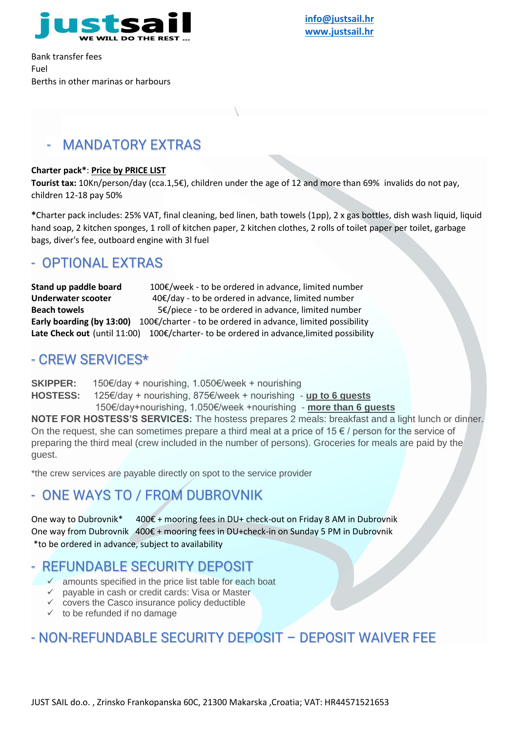

 **[info@justsail.hr](mailto:info@justsail.hr)  [www.justsail.hr](http://www.justsail.hr/)**

Bank transfer fees Fuel Berths in other marinas or harbours

#### MANDATORY EXTRAS

#### **Charter pack\***: **Price by PRICE LIST**

**Tourist tax:** 10Kn/person/day (cca.1,5€), children under the age of 12 and more than 69% invalids do not pay, children 12-18 pay 50%

**\***Charter pack includes: 25% VAT, final cleaning, bed linen, bath towels (1pp), 2 x gas bottles, dish wash liquid, liquid hand soap, 2 kitchen sponges, 1 roll of kitchen paper, 2 kitchen clothes, 2 rolls of toilet paper per toilet, garbage bags, diver's fee, outboard engine with 3l fuel

#### - OPTIONAL EXTRAS

**Stand up paddle board** 100€/week - to be ordered in advance, limited number **Underwater scooter** 40€/day - to be ordered in advance, limited number **Beach towels** 5€/piece - to be ordered in advance, limited number **Early boarding (by 13:00)** 100€/charter - to be ordered in advance, limited possibility Late Check out (until 11:00) 100€/charter- to be ordered in advance, limited possibility

#### - CREW SERVICES\*

guest.

**SKIPPER:** 150€/day + nourishing, 1.050€/week + nourishing **HOSTESS:** 125€/day + nourishing, 875€/week + nourishing - **up to 6 guests** 150€/day+nourishing, 1.050€/week +nourishing - **more than 6 guests NOTE FOR HOSTESS'S SERVICES:** The hostess prepares 2 meals: breakfast and a light lunch or dinner. On the request, she can sometimes prepare a third meal at a price of 15 $\epsilon$  / person for the service of preparing the third meal (crew included in the number of persons). Groceries for meals are paid by the

\*the crew services are payable directly on spot to the service provider

# - ONE WAYS TO / FROM DUBROVNIK

One way to Dubrovnik\* 400€ + mooring fees in DU+ check-out on Friday 8 AM in Dubrovnik One way from Dubrovnik 400€ + mooring fees in DU+check-in on Sunday 5 PM in Dubrovnik \*to be ordered in advance, subject to availability

#### - REFUNDABLE SECURITY DEPOSIT

- $\checkmark$  amounts specified in the price list table for each boat
- $\checkmark$  payable in cash or credit cards: Visa or Master
- $\checkmark$  covers the Casco insurance policy deductible
- $\checkmark$  to be refunded if no damage

### - NON-REFUNDABLE SECURITY DEPOSIT – DEPOSIT WAIVER FEE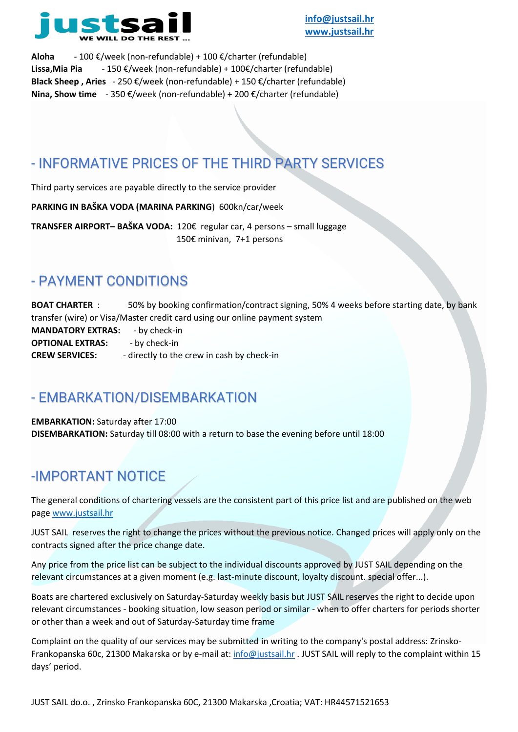

**Aloha** - 100 €/week (non-refundable) + 100 €/charter (refundable) **Lissa,Mia Pia** - 150 €/week (non-refundable) + 100€/charter (refundable) **Black Sheep , Aries** - 250 €/week (non-refundable) + 150 €/charter (refundable) **Nina, Show time** - 350 €/week (non-refundable) + 200 €/charter (refundable)

# - INFORMATIVE PRICES OF THE THIRD PARTY SERVICES

Third party services are payable directly to the service provider

**PARKING IN BAŠKA VODA (MARINA PARKING**) 600kn/car/week

**TRANSFER AIRPORT– BAŠKA VODA:** 120€ regular car, 4 persons – small luggage 150€ minivan, 7+1 persons

## - PAYMENT CONDITIONS

**BOAT CHARTER** : 50% by booking confirmation/contract signing, 50% 4 weeks before starting date, by bank transfer (wire) or Visa/Master credit card using our online payment system **MANDATORY EXTRAS:** - by check-in **OPTIONAL EXTRAS:** - by check-in **CREW SERVICES:** - directly to the crew in cash by check-in

## - EMBARKATION/DISEMBARKATION

**EMBARKATION:** Saturday after 17:00 **DISEMBARKATION:** Saturday till 08:00 with a return to base the evening before until 18:00

# -IMPORTANT NOTICE

The general conditions of chartering vessels are the consistent part of this price list and are published on the web page [www.justsail.hr](http://www.justsail.hr/)

JUST SAIL reserves the right to change the prices without the previous notice. Changed prices will apply only on the contracts signed after the price change date.

Any price from the price list can be subject to the individual discounts approved by JUST SAIL depending on the relevant circumstances at a given moment (e.g. last-minute discount, loyalty discount. special offer...).

Boats are chartered exclusively on Saturday-Saturday weekly basis but JUST SAIL reserves the right to decide upon relevant circumstances - booking situation, low season period or similar - when to offer charters for periods shorter or other than a week and out of Saturday-Saturday time frame

Complaint on the quality of our services may be submitted in writing to the company's postal address: Zrinsko-Frankopanska 60c, 21300 Makarska or by e-mail at: [info@justsail.hr](mailto:info@justsail.hr) . JUST SAIL will reply to the complaint within 15 days' period.